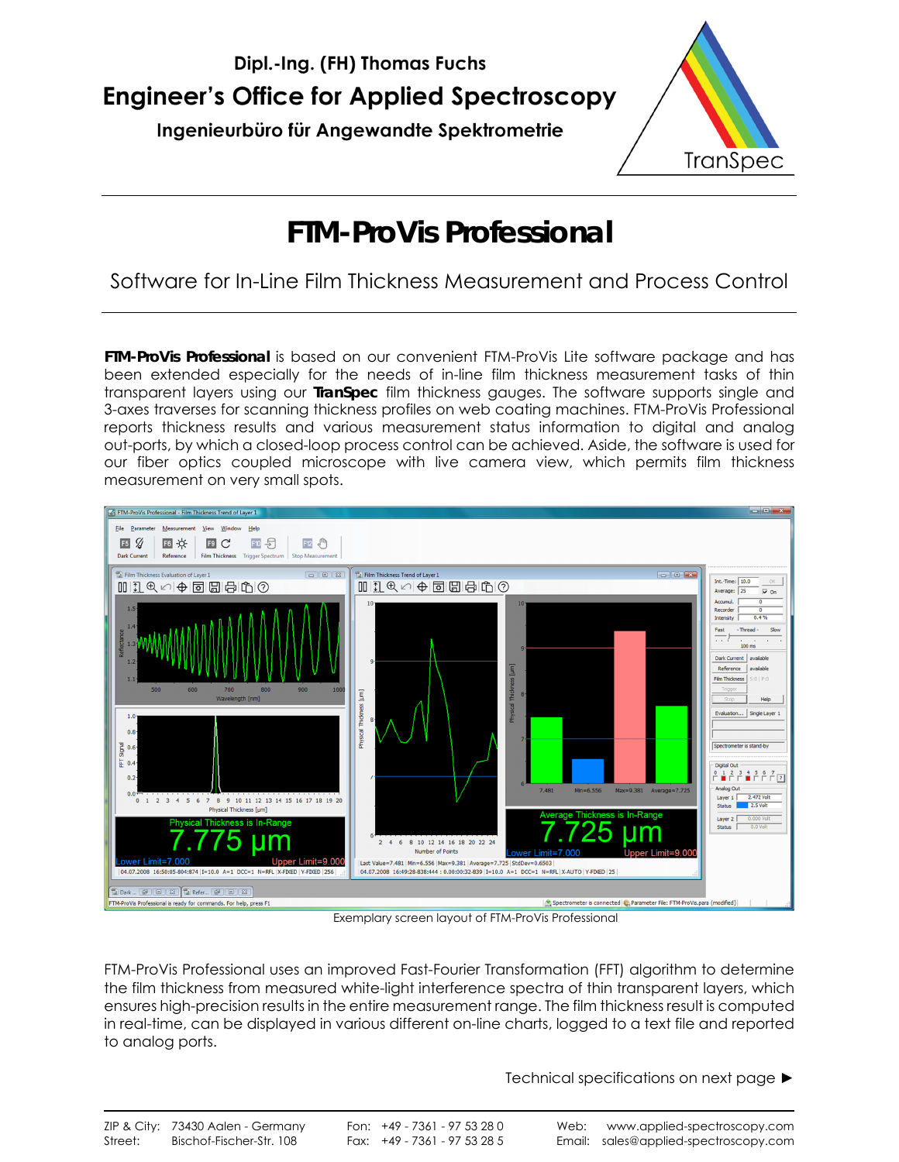

Ingenieurbüro für Angewandte Spektrometrie



# **FTM-ProVis Professional**

### Software for In-Line Film Thickness Measurement and Process Control

**FTM-ProVis Professional** is based on our convenient FTM-ProVis Lite software package and has been extended especially for the needs of in-line film thickness measurement tasks of thin transparent layers using our **TranSpec** film thickness gauges. The software supports single and 3-axes traverses for scanning thickness profiles on web coating machines. FTM-ProVis Professional reports thickness results and various measurement status information to digital and analog out-ports, by which a closed-loop process control can be achieved. Aside, the software is used for our fiber optics coupled microscope with live camera view, which permits film thickness measurement on very small spots.



Exemplary screen layout of FTM-ProVis Professional

FTM-ProVis Professional uses an improved Fast-Fourier Transformation (FFT) algorithm to determine the film thickness from measured white-light interference spectra of thin transparent layers, which ensures high-precision results in the entire measurement range. The film thickness result is computed in real-time, can be displayed in various different on-line charts, logged to a text file and reported to analog ports.

Technical specifications on next page ►